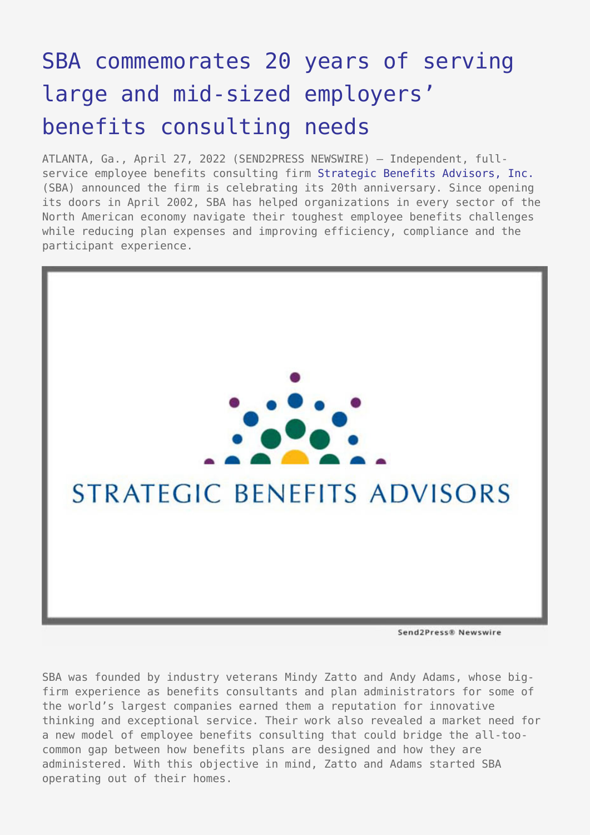## [SBA commemorates 20 years of serving](https://www.send2press.com/wire/sba-commemorates-20-years-of-serving-large-and-mid-sized-employers-benefits-consulting-needs/) [large and mid-sized employers'](https://www.send2press.com/wire/sba-commemorates-20-years-of-serving-large-and-mid-sized-employers-benefits-consulting-needs/) [benefits consulting needs](https://www.send2press.com/wire/sba-commemorates-20-years-of-serving-large-and-mid-sized-employers-benefits-consulting-needs/)

ATLANTA, Ga., April 27, 2022 (SEND2PRESS NEWSWIRE) — Independent, fullservice employee benefits consulting firm [Strategic Benefits Advisors, Inc.](https://www.sba-inc.com) (SBA) announced the firm is celebrating its 20th anniversary. Since opening its doors in April 2002, SBA has helped organizations in every sector of the North American economy navigate their toughest employee benefits challenges while reducing plan expenses and improving efficiency, compliance and the participant experience.



Send2Press® Newswire

SBA was founded by industry veterans Mindy Zatto and Andy Adams, whose bigfirm experience as benefits consultants and plan administrators for some of the world's largest companies earned them a reputation for innovative thinking and exceptional service. Their work also revealed a market need for a new model of employee benefits consulting that could bridge the all-toocommon gap between how benefits plans are designed and how they are administered. With this objective in mind, Zatto and Adams started SBA operating out of their homes.